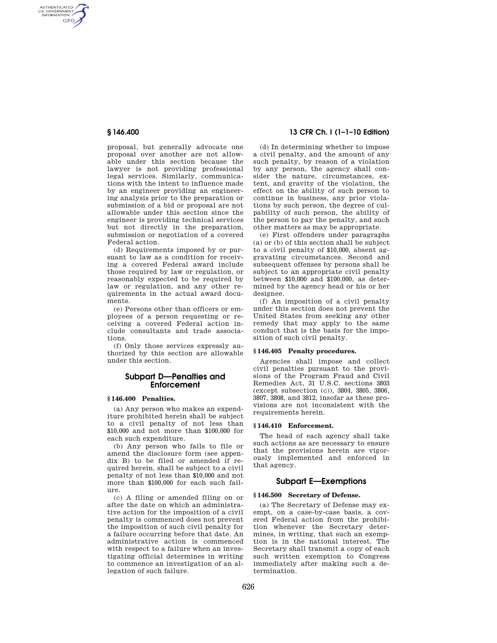AUTHENTICATED<br>U.S. GOVERNMENT<br>INFORMATION GPO

> proposal, but generally advocate one proposal over another are not allowable under this section because the lawyer is not providing professional legal services. Similarly, communications with the intent to influence made by an engineer providing an engineering analysis prior to the preparation or submission of a bid or proposal are not allowable under this section since the engineer is providing technical services but not directly in the preparation, submission or negotiation of a covered Federal action.

> (d) Requirements imposed by or pursuant to law as a condition for receiving a covered Federal award include those required by law or regulation, or reasonably expected to be required by law or regulation, and any other requirements in the actual award documents.

> (e) Persons other than officers or employees of a person requesting or receiving a covered Federal action include consultants and trade associations.

> (f) Only those services expressly authorized by this section are allowable under this section.

# **Subpart D—Penalties and Enforcement**

## **§ 146.400 Penalties.**

(a) Any person who makes an expenditure prohibited herein shall be subject to a civil penalty of not less than \$10,000 and not more than \$100,000 for each such expenditure.

(b) Any person who fails to file or amend the disclosure form (see appendix B) to be filed or amended if required herein, shall be subject to a civil penalty of not less than \$10,000 and not more than \$100,000 for each such failure.

(c) A filing or amended filing on or after the date on which an administrative action for the imposition of a civil penalty is commenced does not prevent the imposition of such civil penalty for a failure occurring before that date. An administrative action is commenced with respect to a failure when an investigating official determines in writing to commence an investigation of an allegation of such failure.

# **§ 146.400 13 CFR Ch. I (1–1–10 Edition)**

(d) In determining whether to impose a civil penalty, and the amount of any such penalty, by reason of a violation by any person, the agency shall consider the nature, circumstances, extent, and gravity of the violation, the effect on the ability of such person to continue in business, any prior violations by such person, the degree of culpability of such person, the ability of the person to pay the penalty, and such other matters as may be appropriate.

(e) First offenders under paragraphs (a) or (b) of this section shall be subject to a civil penalty of \$10,000, absent aggravating circumstances. Second and subsequent offenses by persons shall be subject to an appropriate civil penalty between \$10,000 and \$100,000, as determined by the agency head or his or her designee.

(f) An imposition of a civil penalty under this section does not prevent the United States from seeking any other remedy that may apply to the same conduct that is the basis for the imposition of such civil penalty.

#### **§ 146.405 Penalty procedures.**

Agencies shall impose and collect civil penalties pursuant to the provisions of the Program Fraud and Civil Remedies Act, 31 U.S.C. sections 3803 (except subsection (c)), 3804, 3805, 3806, 3807, 3808, and 3812, insofar as these provisions are not inconsistent with the requirements herein.

#### **§ 146.410 Enforcement.**

The head of each agency shall take such actions as are necessary to ensure that the provisions herein are vigorously implemented and enforced in that agency.

# **Subpart E—Exemptions**

### **§ 146.500 Secretary of Defense.**

(a) The Secretary of Defense may exempt, on a case-by-case basis, a covered Federal action from the prohibition whenever the Secretary determines, in writing, that such an exemption is in the national interest. The Secretary shall transmit a copy of each such written exemption to Congress immediately after making such a determination.